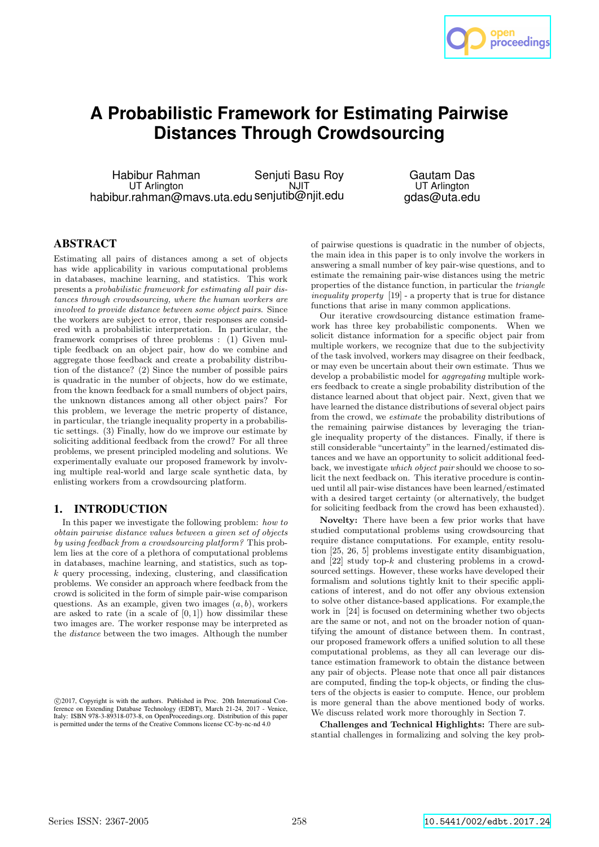

# **A Probabilistic Framework for Estimating Pairwise Distances Through Crowdsourcing**

Habibur Rahman UT Arlington habibur.rahman@mavs.uta.edu senjutib@njit.edu Senjuti Basu Roy **NJIT** 

Gautam Das UT Arlington gdas@uta.edu

# ABSTRACT

Estimating all pairs of distances among a set of objects has wide applicability in various computational problems in databases, machine learning, and statistics. This work presents a probabilistic framework for estimating all pair distances through crowdsourcing, where the human workers are involved to provide distance between some object pairs. Since the workers are subject to error, their responses are considered with a probabilistic interpretation. In particular, the framework comprises of three problems : (1) Given multiple feedback on an object pair, how do we combine and aggregate those feedback and create a probability distribution of the distance? (2) Since the number of possible pairs is quadratic in the number of objects, how do we estimate, from the known feedback for a small numbers of object pairs, the unknown distances among all other object pairs? For this problem, we leverage the metric property of distance, in particular, the triangle inequality property in a probabilistic settings. (3) Finally, how do we improve our estimate by soliciting additional feedback from the crowd? For all three problems, we present principled modeling and solutions. We experimentally evaluate our proposed framework by involving multiple real-world and large scale synthetic data, by enlisting workers from a crowdsourcing platform.

### 1. INTRODUCTION

In this paper we investigate the following problem: how to obtain pairwise distance values between a given set of objects by using feedback from a crowdsourcing platform? This problem lies at the core of a plethora of computational problems in databases, machine learning, and statistics, such as top $k$  query processing, indexing, clustering, and classification problems. We consider an approach where feedback from the crowd is solicited in the form of simple pair-wise comparison questions. As an example, given two images  $(a, b)$ , workers are asked to rate (in a scale of  $[0, 1]$ ) how dissimilar these two images are. The worker response may be interpreted as the distance between the two images. Although the number

of pairwise questions is quadratic in the number of objects, the main idea in this paper is to only involve the workers in answering a small number of key pair-wise questions, and to estimate the remaining pair-wise distances using the metric properties of the distance function, in particular the triangle inequality property [19] - a property that is true for distance functions that arise in many common applications.

Our iterative crowdsourcing distance estimation framework has three key probabilistic components. When we solicit distance information for a specific object pair from multiple workers, we recognize that due to the subjectivity of the task involved, workers may disagree on their feedback, or may even be uncertain about their own estimate. Thus we develop a probabilistic model for aggregating multiple workers feedback to create a single probability distribution of the distance learned about that object pair. Next, given that we have learned the distance distributions of several object pairs from the crowd, we estimate the probability distributions of the remaining pairwise distances by leveraging the triangle inequality property of the distances. Finally, if there is still considerable "uncertainty" in the learned/estimated distances and we have an opportunity to solicit additional feedback, we investigate which object pair should we choose to solicit the next feedback on. This iterative procedure is continued until all pair-wise distances have been learned/estimated with a desired target certainty (or alternatively, the budget for soliciting feedback from the crowd has been exhausted).

Novelty: There have been a few prior works that have studied computational problems using crowdsourcing that require distance computations. For example, entity resolution [25, 26, 5] problems investigate entity disambiguation, and [22] study top-k and clustering problems in a crowdsourced settings. However, these works have developed their formalism and solutions tightly knit to their specific applications of interest, and do not offer any obvious extension to solve other distance-based applications. For example,the work in [24] is focused on determining whether two objects are the same or not, and not on the broader notion of quantifying the amount of distance between them. In contrast, our proposed framework offers a unified solution to all these computational problems, as they all can leverage our distance estimation framework to obtain the distance between any pair of objects. Please note that once all pair distances are computed, finding the top-k objects, or finding the clusters of the objects is easier to compute. Hence, our problem is more general than the above mentioned body of works. We discuss related work more thoroughly in Section 7.

Challenges and Technical Highlights: There are substantial challenges in formalizing and solving the key prob-

c 2017, Copyright is with the authors. Published in Proc. 20th International Conference on Extending Database Technology (EDBT), March 21-24, 2017 - Venice, Italy: ISBN 978-3-89318-073-8, on OpenProceedings.org. Distribution of this paper is permitted under the terms of the Creative Commons license CC-by-nc-nd 4.0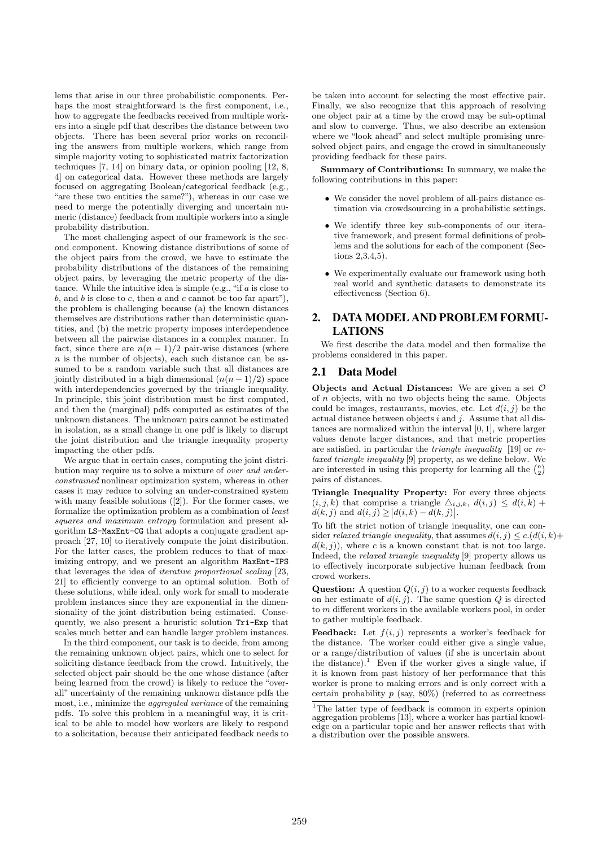lems that arise in our three probabilistic components. Perhaps the most straightforward is the first component, i.e., how to aggregate the feedbacks received from multiple workers into a single pdf that describes the distance between two objects. There has been several prior works on reconciling the answers from multiple workers, which range from simple majority voting to sophisticated matrix factorization techniques [7, 14] on binary data, or opinion pooling [12, 8, 4] on categorical data. However these methods are largely focused on aggregating Boolean/categorical feedback (e.g., "are these two entities the same?"), whereas in our case we need to merge the potentially diverging and uncertain numeric (distance) feedback from multiple workers into a single probability distribution.

The most challenging aspect of our framework is the second component. Knowing distance distributions of some of the object pairs from the crowd, we have to estimate the probability distributions of the distances of the remaining object pairs, by leveraging the metric property of the distance. While the intuitive idea is simple (e.g., "if  $a$  is close to b, and b is close to c, then a and c cannot be too far apart"), the problem is challenging because (a) the known distances themselves are distributions rather than deterministic quantities, and (b) the metric property imposes interdependence between all the pairwise distances in a complex manner. In fact, since there are  $n(n-1)/2$  pair-wise distances (where  $n$  is the number of objects), each such distance can be assumed to be a random variable such that all distances are jointly distributed in a high dimensional  $(n(n-1)/2)$  space with interdependencies governed by the triangle inequality. In principle, this joint distribution must be first computed, and then the (marginal) pdfs computed as estimates of the unknown distances. The unknown pairs cannot be estimated in isolation, as a small change in one pdf is likely to disrupt the joint distribution and the triangle inequality property impacting the other pdfs.

We argue that in certain cases, computing the joint distribution may require us to solve a mixture of over and underconstrained nonlinear optimization system, whereas in other cases it may reduce to solving an under-constrained system with many feasible solutions ([2]). For the former cases, we formalize the optimization problem as a combination of least squares and maximum entropy formulation and present algorithm LS-MaxEnt-CG that adopts a conjugate gradient approach [27, 10] to iteratively compute the joint distribution. For the latter cases, the problem reduces to that of maximizing entropy, and we present an algorithm MaxEnt-IPS that leverages the idea of iterative proportional scaling [23, 21] to efficiently converge to an optimal solution. Both of these solutions, while ideal, only work for small to moderate problem instances since they are exponential in the dimensionality of the joint distribution being estimated. Consequently, we also present a heuristic solution Tri-Exp that scales much better and can handle larger problem instances.

In the third component, our task is to decide, from among the remaining unknown object pairs, which one to select for soliciting distance feedback from the crowd. Intuitively, the selected object pair should be the one whose distance (after being learned from the crowd) is likely to reduce the "overall" uncertainty of the remaining unknown distance pdfs the most, i.e., minimize the aggregated variance of the remaining pdfs. To solve this problem in a meaningful way, it is critical to be able to model how workers are likely to respond to a solicitation, because their anticipated feedback needs to

be taken into account for selecting the most effective pair. Finally, we also recognize that this approach of resolving one object pair at a time by the crowd may be sub-optimal and slow to converge. Thus, we also describe an extension where we "look ahead" and select multiple promising unresolved object pairs, and engage the crowd in simultaneously providing feedback for these pairs.

Summary of Contributions: In summary, we make the following contributions in this paper:

- We consider the novel problem of all-pairs distance estimation via crowdsourcing in a probabilistic settings.
- We identify three key sub-components of our iterative framework, and present formal definitions of problems and the solutions for each of the component (Sections 2,3,4,5).
- We experimentally evaluate our framework using both real world and synthetic datasets to demonstrate its effectiveness (Section 6).

# 2. DATA MODEL AND PROBLEM FORMU-LATIONS

We first describe the data model and then formalize the problems considered in this paper.

# 2.1 Data Model

Objects and Actual Distances: We are given a set  $O$ of n objects, with no two objects being the same. Objects could be images, restaurants, movies, etc. Let  $d(i, j)$  be the actual distance between objects  $i$  and  $j$ . Assume that all distances are normalized within the interval [0, 1], where larger values denote larger distances, and that metric properties are satisfied, in particular the triangle inequality [19] or relaxed triangle inequality [9] property, as we define below. We are interested in using this property for learning all the  $\binom{n}{2}$ pairs of distances.

Triangle Inequality Property: For every three objects  $(i, j, k)$  that comprise a triangle  $\Delta_{i,j,k}$ ,  $d(i, j) \leq d(i, k)$  +  $d(k, j)$  and  $d(i, j) \ge |d(i, k) - d(k, j)|$ .

To lift the strict notion of triangle inequality, one can consider relaxed triangle inequality, that assumes  $d(i, j) \leq c \cdot (d(i, k)) +$  $d(k, j)$ , where c is a known constant that is not too large. Indeed, the relaxed triangle inequality [9] property allows us to effectively incorporate subjective human feedback from crowd workers.

**Question:** A question  $Q(i, j)$  to a worker requests feedback on her estimate of  $d(i, j)$ . The same question  $Q$  is directed to m different workers in the available workers pool, in order to gather multiple feedback.

**Feedback:** Let  $f(i, j)$  represents a worker's feedback for the distance. The worker could either give a single value, or a range/distribution of values (if she is uncertain about the distance).<sup>1</sup> Even if the worker gives a single value, if it is known from past history of her performance that this worker is prone to making errors and is only correct with a certain probability  $p$  (say, 80%) (referred to as correctness

<sup>&</sup>lt;sup>1</sup>The latter type of feedback is common in experts opinion aggregation problems [13], where a worker has partial knowledge on a particular topic and her answer reflects that with a distribution over the possible answers.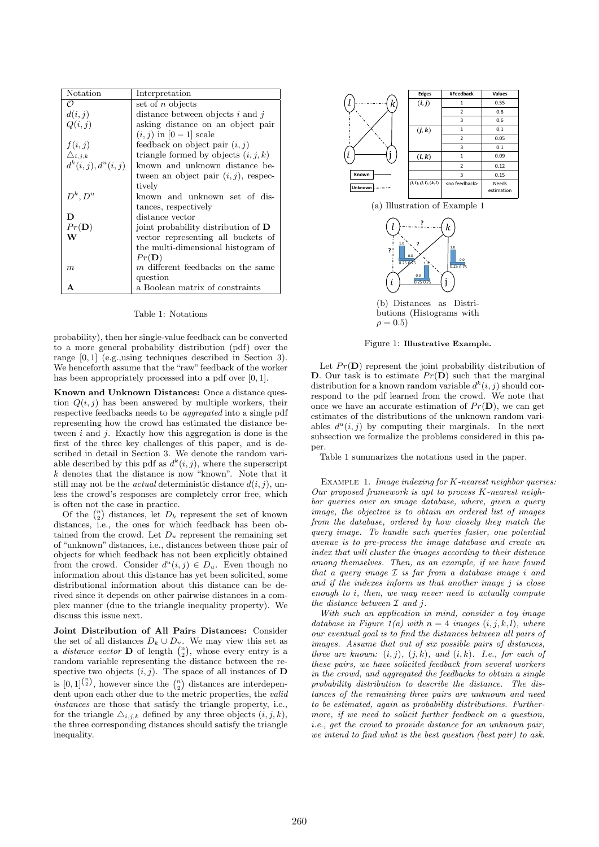| Notation                   | Interpretation                          |
|----------------------------|-----------------------------------------|
| O                          | set of $n$ objects                      |
| d(i, j)                    | distance between objects $i$ and $j$    |
| Q(i, j)                    | asking distance on an object pair       |
|                            | $(i, j)$ in $[0 - 1]$ scale             |
| f(i, j)                    | feedback on object pair $(i, j)$        |
| $\triangle_{i,j,k}$        | triangle formed by objects $(i, j, k)$  |
| $d^{k}(i, j), d^{u}(i, j)$ | known and unknown distance be-          |
|                            | tween an object pair $(i, j)$ , respec- |
|                            | tively                                  |
| $D^k, D^u$                 | known and unknown set of dis-           |
|                            | tances, respectively                    |
| D                          | distance vector                         |
| $Pr(\mathbf{D})$           | joint probability distribution of D     |
| W                          | vector representing all buckets of      |
|                            | the multi-dimensional histogram of      |
|                            | Pr(D)                                   |
| m                          | m different feedbacks on the same       |
|                            | question                                |
| А                          | a Boolean matrix of constraints         |

Table 1: Notations

probability), then her single-value feedback can be converted to a more general probability distribution (pdf) over the range [0, 1] (e.g.,using techniques described in Section 3). We henceforth assume that the "raw" feedback of the worker has been appropriately processed into a pdf over [0, 1].

Known and Unknown Distances: Once a distance question  $Q(i, j)$  has been answered by multiple workers, their respective feedbacks needs to be aggregated into a single pdf representing how the crowd has estimated the distance between  $i$  and  $j$ . Exactly how this aggregation is done is the first of the three key challenges of this paper, and is described in detail in Section 3. We denote the random variable described by this pdf as  $d^k(i, j)$ , where the superscript k denotes that the distance is now "known". Note that it still may not be the *actual* deterministic distance  $d(i, j)$ , unless the crowd's responses are completely error free, which is often not the case in practice.

Of the  $\binom{n}{2}$  distances, let  $D_k$  represent the set of known distances, i.e., the ones for which feedback has been obtained from the crowd. Let  $D_u$  represent the remaining set of "unknown" distances, i.e., distances between those pair of objects for which feedback has not been explicitly obtained from the crowd. Consider  $d^u(i, j) \in D_u$ . Even though no information about this distance has yet been solicited, some distributional information about this distance can be derived since it depends on other pairwise distances in a complex manner (due to the triangle inequality property). We discuss this issue next.

Joint Distribution of All Pairs Distances: Consider the set of all distances  $D_k \cup D_u$ . We may view this set as a *distance vector* **D** of length  $\binom{n}{2}$ , whose every entry is a random variable representing the distance between the respective two objects  $(i, j)$ . The space of all instances of **D** is  $[0,1]^{n \choose 2}$ , however since the  $\binom{n}{2}$  distances are interdependent upon each other due to the metric properties, the valid instances are those that satisfy the triangle property, i.e., for the triangle  $\Delta_{i,j,k}$  defined by any three objects  $(i, j, k)$ , the three corresponding distances should satisfy the triangle inequality.



(a) Illustration of Example 1



butions (Histograms with  $\rho = 0.5$ )

Figure 1: Illustrative Example.

Let  $Pr(D)$  represent the joint probability distribution of D. Our task is to estimate  $Pr(D)$  such that the marginal distribution for a known random variable  $d^k(i, j)$  should correspond to the pdf learned from the crowd. We note that once we have an accurate estimation of  $Pr(D)$ , we can get estimates of the distributions of the unknown random variables  $d^u(i, j)$  by computing their marginals. In the next subsection we formalize the problems considered in this paper.

Table 1 summarizes the notations used in the paper.

EXAMPLE 1. Image indexing for  $K$ -nearest neighbor queries: Our proposed framework is apt to process K-nearest neighbor queries over an image database, where, given a query image, the objective is to obtain an ordered list of images from the database, ordered by how closely they match the query image. To handle such queries faster, one potential avenue is to pre-process the image database and create an index that will cluster the images according to their distance among themselves. Then, as an example, if we have found that a query image  $\mathcal I$  is far from a database image i and and if the indexes inform us that another image j is close enough to i, then, we may never need to actually compute the distance between  $\mathcal I$  and  $j$ .

With such an application in mind, consider a toy image database in Figure 1(a) with  $n = 4$  images  $(i, j, k, l)$ , where our eventual goal is to find the distances between all pairs of images. Assume that out of six possible pairs of distances, three are known:  $(i, j)$ ,  $(j, k)$ , and  $(i, k)$ . I.e., for each of these pairs, we have solicited feedback from several workers in the crowd, and aggregated the feedbacks to obtain a single probability distribution to describe the distance. The distances of the remaining three pairs are unknown and need to be estimated, again as probability distributions. Furthermore, if we need to solicit further feedback on a question, i.e., get the crowd to provide distance for an unknown pair, we intend to find what is the best question (best pair) to ask.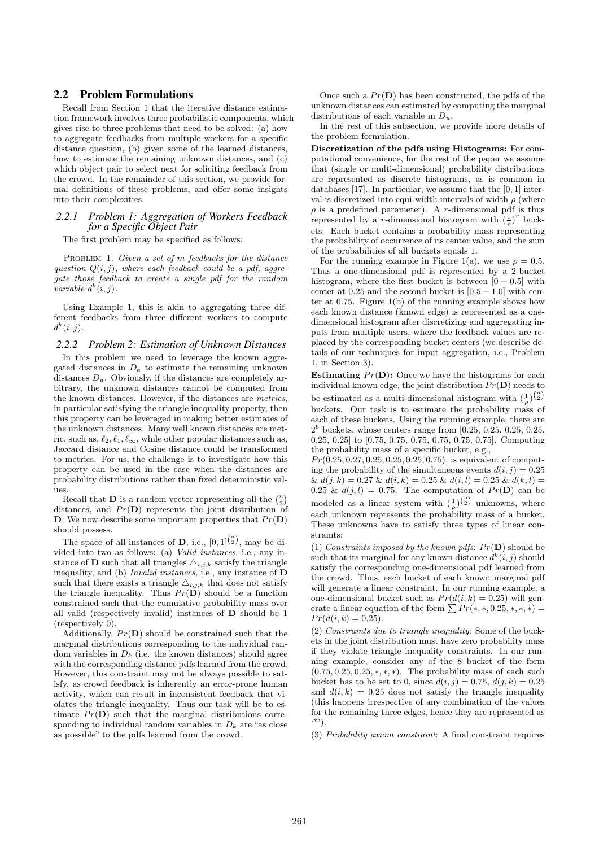### 2.2 Problem Formulations

Recall from Section 1 that the iterative distance estimation framework involves three probabilistic components, which gives rise to three problems that need to be solved: (a) how to aggregate feedbacks from multiple workers for a specific distance question, (b) given some of the learned distances, how to estimate the remaining unknown distances, and (c) which object pair to select next for soliciting feedback from the crowd. In the remainder of this section, we provide formal definitions of these problems, and offer some insights into their complexities.

#### *2.2.1 Problem 1: Aggregation of Workers Feedback for a Specific Object Pair*

The first problem may be specified as follows:

PROBLEM 1. Given a set of m feedbacks for the distance question  $Q(i, j)$ , where each feedback could be a pdf, aggregate those feedback to create a single pdf for the random variable  $d^k(i, j)$ .

Using Example 1, this is akin to aggregating three different feedbacks from three different workers to compute  $d^k(i,j)$ .

#### *2.2.2 Problem 2: Estimation of Unknown Distances*

In this problem we need to leverage the known aggregated distances in  $D_k$  to estimate the remaining unknown distances  $D_u$ . Obviously, if the distances are completely arbitrary, the unknown distances cannot be computed from the known distances. However, if the distances are metrics, in particular satisfying the triangle inequality property, then this property can be leveraged in making better estimates of the unknown distances. Many well known distances are metric, such as,  $\ell_2, \ell_1, \ell_\infty$ , while other popular distances such as, Jaccard distance and Cosine distance could be transformed to metrics. For us, the challenge is to investigate how this property can be used in the case when the distances are probability distributions rather than fixed deterministic values.

Recall that **D** is a random vector representing all the  $\binom{n}{2}$ distances, and  $Pr(D)$  represents the joint distribution of D. We now describe some important properties that  $Pr(D)$ should possess.

The space of all instances of **D**, i.e.,  $[0,1]^{n \choose 2}$ , may be divided into two as follows: (a) Valid instances, i.e., any instance of **D** such that all triangles  $\Delta_{i,j,k}$  satisfy the triangle inequality, and (b) Invalid instances, i.e., any instance of D such that there exists a triangle  $\Delta_{i,j,k}$  that does not satisfy the triangle inequality. Thus  $Pr(D)$  should be a function constrained such that the cumulative probability mass over all valid (respectively invalid) instances of D should be 1 (respectively 0).

Additionally,  $Pr(D)$  should be constrained such that the marginal distributions corresponding to the individual random variables in  $D_k$  (i.e. the known distances) should agree with the corresponding distance pdfs learned from the crowd. However, this constraint may not be always possible to satisfy, as crowd feedback is inherently an error-prone human activity, which can result in inconsistent feedback that violates the triangle inequality. Thus our task will be to estimate  $Pr(D)$  such that the marginal distributions corresponding to individual random variables in  $D_k$  are "as close as possible" to the pdfs learned from the crowd.

Once such a  $Pr(D)$  has been constructed, the pdfs of the unknown distances can estimated by computing the marginal distributions of each variable in  $D_u$ .

In the rest of this subsection, we provide more details of the problem formulation.

Discretization of the pdfs using Histograms: For computational convenience, for the rest of the paper we assume that (single or multi-dimensional) probability distributions are represented as discrete histograms, as is common in databases  $[17]$ . In particular, we assume that the  $[0, 1]$  interval is discretized into equi-width intervals of width  $\rho$  (where  $\rho$  is a predefined parameter). A *r*-dimensional pdf is thus represented by a *r*-dimensional histogram with  $\left(\frac{1}{\rho}\right)^r$  buckets. Each bucket contains a probability mass representing the probability of occurrence of its center value, and the sum of the probabilities of all buckets equals 1.

For the running example in Figure 1(a), we use  $\rho = 0.5$ . Thus a one-dimensional pdf is represented by a 2-bucket histogram, where the first bucket is between  $[0 - 0.5]$  with center at  $0.25$  and the second bucket is  $[0.5 - 1.0]$  with center at 0.75. Figure 1(b) of the running example shows how each known distance (known edge) is represented as a onedimensional histogram after discretizing and aggregating inputs from multiple users, where the feedback values are replaced by the corresponding bucket centers (we describe details of our techniques for input aggregation, i.e., Problem 1, in Section 3).

**Estimating**  $Pr(D)$ : Once we have the histograms for each individual known edge, the joint distribution  $Pr(D)$  needs to be estimated as a multi-dimensional histogram with  $(\frac{1}{\rho})^{\binom{n}{2}}$ buckets. Our task is to estimate the probability mass of each of these buckets. Using the running example, there are  $2^6$  buckets, whose centers range from [0.25, 0.25, 0.25, 0.25, 0.25, 0.25] to [0.75, 0.75, 0.75, 0.75, 0.75, 0.75]. Computing the probability mass of a specific bucket, e.g.,

 $Pr(0.25, 0.27, 0.25, 0.25, 0.25, 0.75)$ , is equivalent of computing the probability of the simultaneous events  $d(i, j) = 0.25$  $\& d(j,k) = 0.27 \& d(i,k) = 0.25 \& d(i,l) = 0.25 \& d(k,l) =$ 0.25 &  $d(j, l) = 0.75$ . The computation of  $Pr(\mathbf{D})$  can be modeled as a linear system with  $\left(\frac{1}{\rho}\right)^{\binom{n}{2}}$  unknowns, where each unknown represents the probability mass of a bucket. These unknowns have to satisfy three types of linear constraints:

(1) Constraints imposed by the known pdfs:  $Pr(D)$  should be such that its marginal for any known distance  $d^k(i, j)$  should satisfy the corresponding one-dimensional pdf learned from the crowd. Thus, each bucket of each known marginal pdf will generate a linear constraint. In our running example, a one-dimensional bucket such as  $Pr(d(i, k) = 0.25)$  will generate a linear equation of the form  $\sum Pr(*,*,0.25,*,*,*) =$  $Pr(d(i, k) = 0.25).$ 

(2) Constraints due to triangle inequality: Some of the buckets in the joint distribution must have zero probability mass if they violate triangle inequality constraints. In our running example, consider any of the 8 bucket of the form  $(0.75, 0.25, 0.25, *, *, *)$ . The probability mass of each such bucket has to be set to 0, since  $d(i, j) = 0.75, d(j, k) = 0.25$ and  $d(i, k) = 0.25$  does not satisfy the triangle inequality (this happens irrespective of any combination of the values for the remaining three edges, hence they are represented as '\*').

(3) Probability axiom constraint: A final constraint requires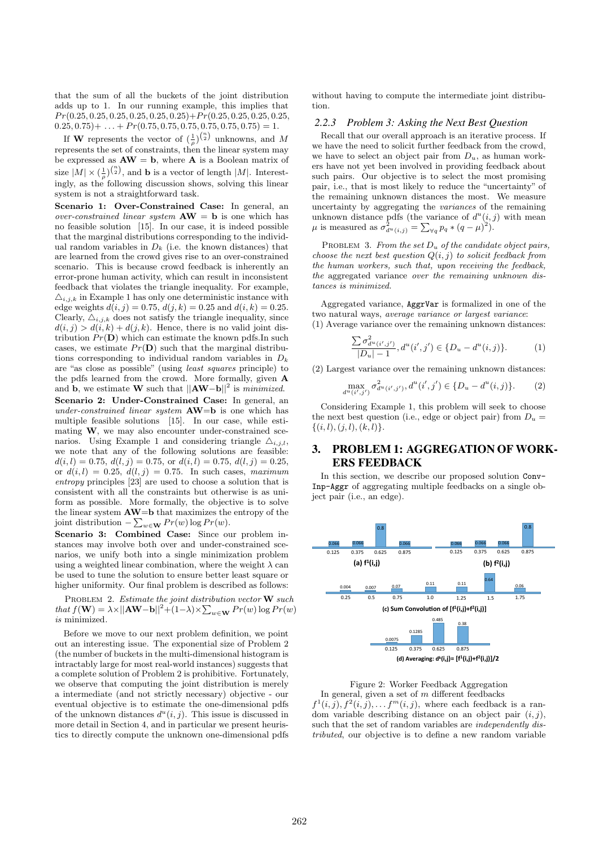that the sum of all the buckets of the joint distribution adds up to 1. In our running example, this implies that  $Pr(0.25, 0.25, 0.25, 0.25, 0.25, 0.25, 0.25) + Pr(0.25, 0.25, 0.25, 0.25,$  $0.25, 0.75$  +  $\dots$  +  $Pr(0.75, 0.75, 0.75, 0.75, 0.75, 0.75) = 1.$ 

If **W** represents the vector of  $\left(\frac{1}{\rho}\right)^{\binom{n}{2}}$  unknowns, and M represents the set of constraints, then the linear system may be expressed as  $AW = b$ , where A is a Boolean matrix of size  $|M| \times (\frac{1}{\rho})^{(\frac{n}{2})}$ , and **b** is a vector of length  $|M|$ . Interestingly, as the following discussion shows, solving this linear system is not a straightforward task.

Scenario 1: Over-Constrained Case: In general, an over-constrained linear system  $AW = b$  is one which has no feasible solution [15]. In our case, it is indeed possible that the marginal distributions corresponding to the individual random variables in  $D_k$  (i.e. the known distances) that are learned from the crowd gives rise to an over-constrained scenario. This is because crowd feedback is inherently an error-prone human activity, which can result in inconsistent feedback that violates the triangle inequality. For example,  $\Delta_{i,j,k}$  in Example 1 has only one deterministic instance with edge weights  $d(i, j) = 0.75$ ,  $d(j, k) = 0.25$  and  $d(i, k) = 0.25$ . Clearly,  $\Delta_{i,j,k}$  does not satisfy the triangle inequality, since  $d(i, j) > d(i, k) + d(j, k)$ . Hence, there is no valid joint distribution  $Pr(D)$  which can estimate the known pdfs. In such cases, we estimate  $Pr(D)$  such that the marginal distributions corresponding to individual random variables in  $D_k$ are "as close as possible" (using least squares principle) to the pdfs learned from the crowd. More formally, given A and **b**, we estimate **W** such that  $||A \mathbf{W} - \mathbf{b}||^2$  is *minimized*. Scenario 2: Under-Constrained Case: In general, an under-constrained linear system  $AW=b$  is one which has multiple feasible solutions [15]. In our case, while estimating W, we may also encounter under-constrained scenarios. Using Example 1 and considering triangle  $\Delta_{i,j,l}$ , we note that any of the following solutions are feasible:  $d(i, l) = 0.75, d(l, j) = 0.75, \text{ or } d(i, l) = 0.75, d(l, j) = 0.25,$ or  $d(i, l) = 0.25$ ,  $d(l, j) = 0.75$ . In such cases, maximum entropy principles [23] are used to choose a solution that is consistent with all the constraints but otherwise is as uniform as possible. More formally, the objective is to solve the linear system AW=b that maximizes the entropy of the joint distribution  $-\sum_{w\in\mathbf{W}}Pr(w)\log Pr(w)$ .

Scenario 3: Combined Case: Since our problem instances may involve both over and under-constrained scenarios, we unify both into a single minimization problem using a weighted linear combination, where the weight  $\lambda$  can be used to tune the solution to ensure better least square or higher uniformity. Our final problem is described as follows:

PROBLEM 2. Estimate the joint distribution vector  $\bf{W}$  such that  $f(\mathbf{W}) = \lambda \times ||\mathbf{A}\mathbf{W} - \mathbf{b}||^2 + (1 - \lambda) \times \sum_{w \in \mathbf{W}} Pr(w) \log Pr(w)$ is minimized.

Before we move to our next problem definition, we point out an interesting issue. The exponential size of Problem 2 (the number of buckets in the multi-dimensional histogram is intractably large for most real-world instances) suggests that a complete solution of Problem 2 is prohibitive. Fortunately, we observe that computing the joint distribution is merely a intermediate (and not strictly necessary) objective - our eventual objective is to estimate the one-dimensional pdfs of the unknown distances  $d^u(i, j)$ . This issue is discussed in more detail in Section 4, and in particular we present heuristics to directly compute the unknown one-dimensional pdfs

without having to compute the intermediate joint distribution.

#### *2.2.3 Problem 3: Asking the Next Best Question*

Recall that our overall approach is an iterative process. If we have the need to solicit further feedback from the crowd, we have to select an object pair from  $D_u$ , as human workers have not yet been involved in providing feedback about such pairs. Our objective is to select the most promising pair, i.e., that is most likely to reduce the "uncertainty" of the remaining unknown distances the most. We measure uncertainty by aggregating the variances of the remaining unknown distance pdfs (the variance of  $d^u(i, j)$  with mean  $\mu$  is measured as  $\sigma_{d^u(i,j)}^2 = \sum_{\forall q} p_q * (q - \mu)^2$ .

PROBLEM 3. From the set  $D_u$  of the candidate object pairs, choose the next best question  $Q(i, j)$  to solicit feedback from the human workers, such that, upon receiving the feedback, the aggregated variance over the remaining unknown distances is minimized.

Aggregated variance, AggrVar is formalized in one of the two natural ways, average variance or largest variance: (1) Average variance over the remaining unknown distances:

$$
\frac{\sum \sigma_{d^u(i',j')}^2}{|D_u|-1}, d^u(i',j') \in \{D_u - d^u(i,j)\}.
$$
 (1)

(2) Largest variance over the remaining unknown distances:

$$
\max_{d^u(i',j')} \sigma_{d^u(i',j')}^2, d^u(i',j') \in \{D_u - d^u(i,j)\}.
$$
 (2)

Considering Example 1, this problem will seek to choose the next best question (i.e., edge or object pair) from  $D_u =$  $\{(i, l), (j, l), (k, l)\}.$ 

# 3. PROBLEM 1: AGGREGATION OF WORK-ERS FEEDBACK

In this section, we describe our proposed solution Conv-Inp-Aggr of aggregating multiple feedbacks on a single object pair (i.e., an edge).



Figure 2: Worker Feedback Aggregation In general, given a set of  $m$  different feedbacks  $f^1(i,j), f^2(i,j), \ldots, f^m(i,j)$ , where each feedback is a random variable describing distance on an object pair  $(i, j)$ , such that the set of random variables are *independently dis*tributed, our objective is to define a new random variable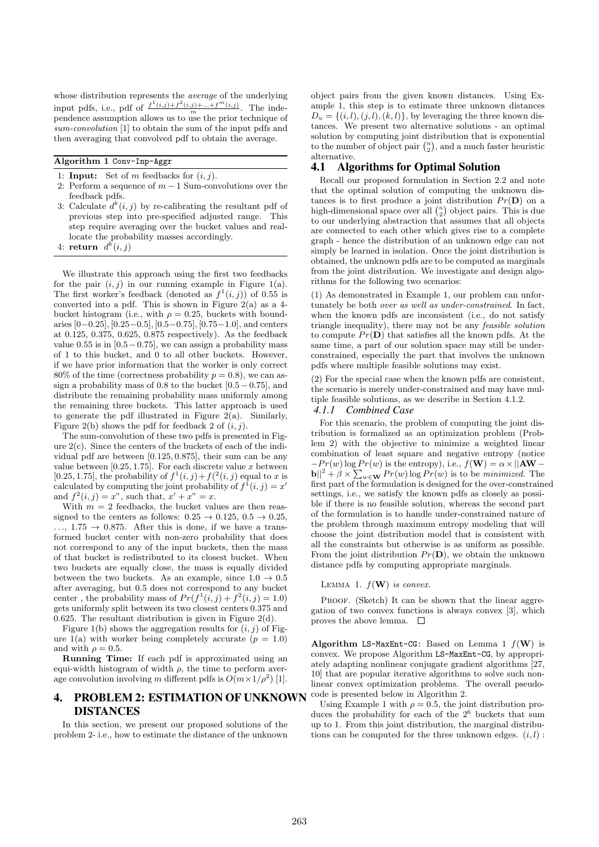whose distribution represents the *average* of the underlying input pdfs, i.e., pdf of  $\frac{f^1(i,j)+f^2(i,j)+...+f^m(i,j)}{m}$ . The independence assumption allows us to use the prior technique of sum-convolution [1] to obtain the sum of the input pdfs and then averaging that convolved pdf to obtain the average.

Algorithm 1 Conv-Inp-Aggr

- 1: **Input:** Set of m feedbacks for  $(i, j)$ .
- 2: Perform a sequence of  $m-1$  Sum-convolutions over the feedback pdfs.
- 3: Calculate  $d^k(i, j)$  by re-calibrating the resultant pdf of previous step into pre-specified adjusted range. This step require averaging over the bucket values and reallocate the probability masses accordingly.
- 4: return  $d^k(i,j)$

We illustrate this approach using the first two feedbacks for the pair  $(i, j)$  in our running example in Figure 1(a). The first worker's feedback (denoted as  $f^1(i, j)$ ) of 0.55 is converted into a pdf. This is shown in Figure  $2(a)$  as a 4bucket histogram (i.e., with  $\rho = 0.25$ , buckets with boundaries  $[0-0.25]$ ,  $[0.25-0.5]$ ,  $[0.5-0.75]$ ,  $[0.75-1.0]$ , and centers at 0.125, 0.375, 0.625, 0.875 respectively). As the feedback value  $0.55$  is in  $[0.5-0.75]$ , we can assign a probability mass of 1 to this bucket, and 0 to all other buckets. However, if we have prior information that the worker is only correct 80% of the time (correctness probability  $p = 0.8$ ), we can assign a probability mass of 0.8 to the bucket  $[0.5 - 0.75]$ , and distribute the remaining probability mass uniformly among the remaining three buckets. This latter approach is used to generate the pdf illustrated in Figure  $2(a)$ . Similarly, Figure 2(b) shows the pdf for feedback 2 of  $(i, j)$ .

The sum-convolution of these two pdfs is presented in Figure 2(c). Since the centers of the buckets of each of the individual pdf are between [0.125, 0.875], their sum can be any value between  $[0.25, 1.75]$ . For each discrete value x between [0.25, 1.75], the probability of  $f^1(i, j) + f^2(i, j)$  equal to x is calculated by computing the joint probability of  $f^1(i, j) = x'$ and  $f^{2}(i, j) = x^{n}$ , such that,  $x' + x^{n} = x$ .

With  $m = 2$  feedbacks, the bucket values are then reassigned to the centers as follows:  $0.25 \rightarrow 0.125$ ,  $0.5 \rightarrow 0.25$ ,  $\ldots$ , 1.75  $\rightarrow$  0.875. After this is done, if we have a transformed bucket center with non-zero probability that does not correspond to any of the input buckets, then the mass of that bucket is redistributed to its closest bucket. When two buckets are equally close, the mass is equally divided between the two buckets. As an example, since  $1.0 \rightarrow 0.5$ after averaging, but 0.5 does not correspond to any bucket center, the probability mass of  $Pr(f^1(i,j) + f^2(i,j) = 1.0)$ gets uniformly split between its two closest centers 0.375 and 0.625. The resultant distribution is given in Figure 2(d).

Figure 1(b) shows the aggregation results for  $(i, j)$  of Figure 1(a) with worker being completely accurate  $(p = 1.0)$ and with  $\rho = 0.5$ .

Running Time: If each pdf is approximated using an equi-width histogram of width  $\rho$ , the time to perform average convolution involving m different pdfs is  $O(m \times 1/\rho^2)$  [1].

# 4. PROBLEM 2: ESTIMATION OF UNKNOWN DISTANCES

In this section, we present our proposed solutions of the problem 2- i.e., how to estimate the distance of the unknown

object pairs from the given known distances. Using Example 1, this step is to estimate three unknown distances  $D_u = \{(i, l), (j, l), (k, l)\}\,$  by leveraging the three known distances. We present two alternative solutions - an optimal solution by computing joint distribution that is exponential to the number of object pair  $\binom{n}{2}$ , and a much faster heuristic alternative.

### 4.1 Algorithms for Optimal Solution

Recall our proposed formulation in Section 2.2 and note that the optimal solution of computing the unknown distances is to first produce a joint distribution  $Pr(D)$  on a high-dimensional space over all  $\binom{n}{2}$  object pairs. This is due to our underlying abstraction that assumes that all objects are connected to each other which gives rise to a complete graph - hence the distribution of an unknown edge can not simply be learned in isolation. Once the joint distribution is obtained, the unknown pdfs are to be computed as marginals from the joint distribution. We investigate and design algorithms for the following two scenarios:

(1) As demonstrated in Example 1, our problem can unfortunately be both over as well as under-constrained. In fact, when the known pdfs are inconsistent (i.e., do not satisfy triangle inequality), there may not be any feasible solution to compute  $Pr(D)$  that satisfies all the known pdfs. At the same time, a part of our solution space may still be underconstrained, especially the part that involves the unknown pdfs where multiple feasible solutions may exist.

(2) For the special case when the known pdfs are consistent, the scenario is merely under-constrained and may have multiple feasible solutions, as we describe in Section 4.1.2.

# *4.1.1 Combined Case*

For this scenario, the problem of computing the joint distribution is formalized as an optimization problem (Problem 2) with the objective to minimize a weighted linear combination of least square and negative entropy (notice  $-Pr(w) \log Pr(w)$  is the entropy), i.e.,  $f(\mathbf{W}) = \alpha \times ||\mathbf{A}\mathbf{W} - \mathbf{A}\mathbf{W}||$  $||b||^2 + \beta \times \sum_{w \in \mathbf{W}} Pr(w) \log Pr(w)$  is to be minimized. The first part of the formulation is designed for the over-constrained settings, i.e., we satisfy the known pdfs as closely as possible if there is no feasible solution, whereas the second part of the formulation is to handle under-constrained nature of the problem through maximum entropy modeling that will choose the joint distribution model that is consistent with all the constraints but otherwise is as uniform as possible. From the joint distribution  $Pr(D)$ , we obtain the unknown distance pdfs by computing appropriate marginals.

LEMMA 1.  $f(\mathbf{W})$  is convex.

PROOF. (Sketch) It can be shown that the linear aggregation of two convex functions is always convex [3], which proves the above lemma.  $\square$ 

Algorithm LS-MaxEnt-CG: Based on Lemma 1  $f(\mathbf{W})$  is convex. We propose Algorithm LS-MaxEnt-CG, by appropriately adapting nonlinear conjugate gradient algorithms [27, 10] that are popular iterative algorithms to solve such nonlinear convex optimization problems. The overall pseudocode is presented below in Algorithm 2.

Using Example 1 with  $\rho = 0.5$ , the joint distribution produces the probability for each of the  $2^6$  buckets that sum up to 1. From this joint distribution, the marginal distributions can be computed for the three unknown edges.  $(i, l)$ :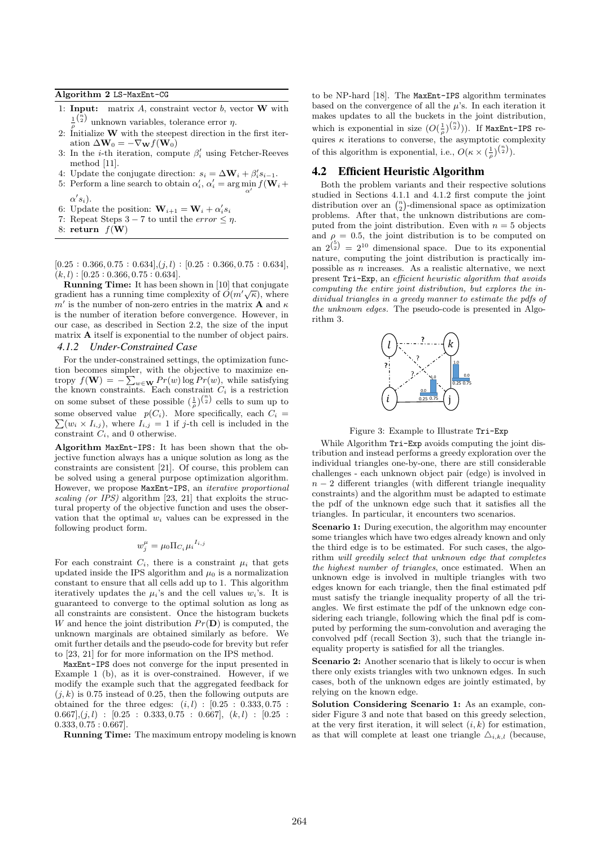#### Algorithm 2 LS-MaxEnt-CG

- 1: **Input:** matrix  $A$ , constraint vector  $b$ , vector  $W$  with  $\frac{1}{\rho}$ <sup>( $\frac{\overline{n}}{2}$ </sup>) unknown variables, tolerance error  $\eta$ .
- 2: Initialize  $W$  with the steepest direction in the first iteration  $\Delta W_0 = -\nabla_{\mathbf{W}} f(\mathbf{W}_0)$
- 3: In the *i*-th iteration, compute  $\beta'_i$  using Fetcher-Reeves method [11].
- 4: Update the conjugate direction:  $s_i = \Delta \mathbf{W}_i + \beta'_i s_{i-1}$ .
- 5: Perform a line search to obtain  $\alpha'_i$ ,  $\alpha'_i = \arg\min_{\alpha'} f(\mathbf{W}_i + \alpha')$  $\alpha's_i$ ).
- 6: Update the position:  $\mathbf{W}_{i+1} = \mathbf{W}_i + \alpha'_i s_i$
- 7: Repeat Steps  $3-7$  to until the *error*  $\leq \eta$ .
- 8: return  $f(\mathbf{W})$

 $[0.25: 0.366, 0.75: 0.634], (j, l): [0.25: 0.366, 0.75: 0.634],$  $(k, l) : [0.25 : 0.366, 0.75 : 0.634].$ 

Running Time: It has been shown in [10] that conjugate gradient has a running time complexity of  $O(m'\sqrt{\kappa})$ , where  $m'$  is the number of non-zero entries in the matrix **A** and  $\kappa$ is the number of iteration before convergence. However, in our case, as described in Section 2.2, the size of the input matrix A itself is exponential to the number of object pairs. *4.1.2 Under-Constrained Case*

For the under-constrained settings, the optimization function becomes simpler, with the objective to maximize entropy  $f(\mathbf{W}) = -\sum_{w \in \mathbf{W}} Pr(w) \log Pr(w)$ , while satisfying the known constraints. Each constraint  $C_i$  is a restriction on some subset of these possible  $(\frac{1}{\rho})^{\binom{n}{2}}$  cells to sum up to some observed value  $p(C_i)$ . More specifically, each  $C_i =$  $\sum(w_i \times I_{i,j})$ , where  $I_{i,j} = 1$  if j-th cell is included in the constraint  $C_i$ , and 0 otherwise.

Algorithm MaxEnt-IPS: It has been shown that the objective function always has a unique solution as long as the constraints are consistent [21]. Of course, this problem can be solved using a general purpose optimization algorithm. However, we propose MaxEnt-IPS, an iterative proportional scaling (or IPS) algorithm [23, 21] that exploits the structural property of the objective function and uses the observation that the optimal  $w_i$  values can be expressed in the following product form.

$$
w_j^{\mu} = \mu_0 \Pi_{C_i} \mu_i^{I_{i,j}}
$$

For each constraint  $C_i$ , there is a constraint  $\mu_i$  that gets updated inside the IPS algorithm and  $\mu_0$  is a normalization constant to ensure that all cells add up to 1. This algorithm iteratively updates the  $\mu_i$ 's and the cell values  $w_i$ 's. It is guaranteed to converge to the optimal solution as long as all constraints are consistent. Once the histogram buckets W and hence the joint distribution  $Pr(D)$  is computed, the unknown marginals are obtained similarly as before. We omit further details and the pseudo-code for brevity but refer to [23, 21] for for more information on the IPS method.

MaxEnt-IPS does not converge for the input presented in Example 1 (b), as it is over-constrained. However, if we modify the example such that the aggregated feedback for  $(j, k)$  is 0.75 instead of 0.25, then the following outputs are obtained for the three edges:  $(i, l) : [0.25 : 0.333, 0.75 :$  $(0.667),(j,l)$  :  $[0.25:0.333,0.75:0.667], (k,l) : [0.25:$ 0.333, 0.75 : 0.667].

Running Time: The maximum entropy modeling is known

to be NP-hard [18]. The MaxEnt-IPS algorithm terminates based on the convergence of all the  $\mu$ 's. In each iteration it makes updates to all the buckets in the joint distribution, which is exponential in size  $(O(\frac{1}{\rho})^{\binom{n}{2}})$ ). If MaxEnt-IPS requires  $\kappa$  iterations to converse, the asymptotic complexity of this algorithm is exponential, i.e.,  $O(\kappa \times (\frac{1}{\rho})^{\binom{n}{2}})$ .

### 4.2 Efficient Heuristic Algorithm

Both the problem variants and their respective solutions studied in Sections 4.1.1 and 4.1.2 first compute the joint distribution over an  $\binom{n}{2}$ -dimensional space as optimization problems. After that, the unknown distributions are computed from the joint distribution. Even with  $n = 5$  objects and  $\rho = 0.5$ , the joint distribution is to be computed on an  $2^{5 \choose 2} = 2^{10}$  dimensional space. Due to its exponential nature, computing the joint distribution is practically impossible as  $n$  increases. As a realistic alternative, we next present Tri-Exp, an efficient heuristic algorithm that avoids computing the entire joint distribution, but explores the individual triangles in a greedy manner to estimate the pdfs of the unknown edges. The pseudo-code is presented in Algorithm 3.



Figure 3: Example to Illustrate Tri-Exp

While Algorithm Tri-Exp avoids computing the joint distribution and instead performs a greedy exploration over the individual triangles one-by-one, there are still considerable challenges - each unknown object pair (edge) is involved in  $n-2$  different triangles (with different triangle inequality constraints) and the algorithm must be adapted to estimate the pdf of the unknown edge such that it satisfies all the triangles. In particular, it encounters two scenarios.

Scenario 1: During execution, the algorithm may encounter some triangles which have two edges already known and only the third edge is to be estimated. For such cases, the algorithm will greedily select that unknown edge that completes the highest number of triangles, once estimated. When an unknown edge is involved in multiple triangles with two edges known for each triangle, then the final estimated pdf must satisfy the triangle inequality property of all the triangles. We first estimate the pdf of the unknown edge considering each triangle, following which the final pdf is computed by performing the sum-convolution and averaging the convolved pdf (recall Section 3), such that the triangle inequality property is satisfied for all the triangles.

Scenario 2: Another scenario that is likely to occur is when there only exists triangles with two unknown edges. In such cases, both of the unknown edges are jointly estimated, by relying on the known edge.

Solution Considering Scenario 1: As an example, consider Figure 3 and note that based on this greedy selection, at the very first iteration, it will select  $(i, k)$  for estimation, as that will complete at least one triangle  $\Delta_{i,k,l}$  (because,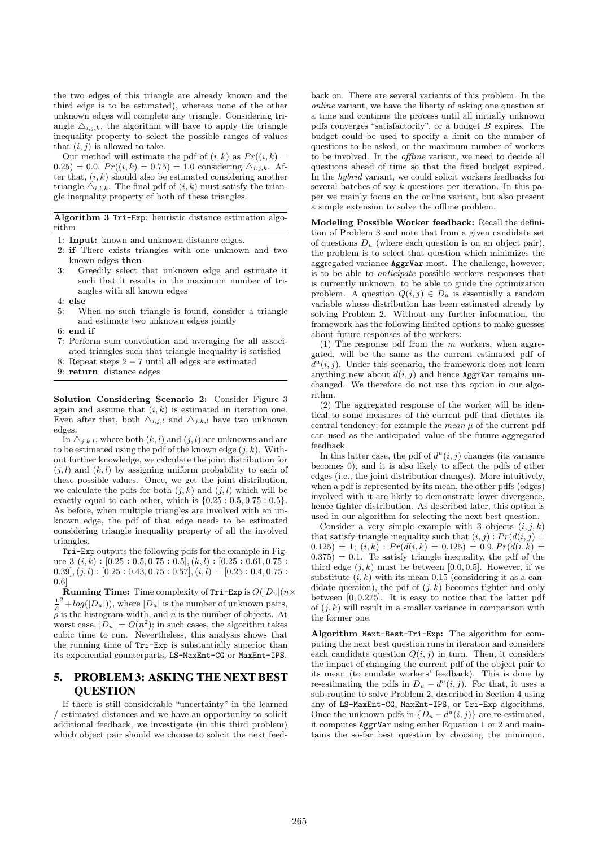the two edges of this triangle are already known and the third edge is to be estimated), whereas none of the other unknown edges will complete any triangle. Considering triangle  $\Delta_{i,j,k}$ , the algorithm will have to apply the triangle inequality property to select the possible ranges of values that  $(i, j)$  is allowed to take.

Our method will estimate the pdf of  $(i, k)$  as  $Pr((i, k) =$  $(0.25) = 0.0, Pr((i, k) = 0.75) = 1.0$  considering  $\Delta_{i,j,k}$ . After that,  $(i, k)$  should also be estimated considering another triangle  $\Delta_{i,l,k}$ . The final pdf of  $(i,k)$  must satisfy the triangle inequality property of both of these triangles.

Algorithm 3 Tri-Exp: heuristic distance estimation algorithm

- 1: Input: known and unknown distance edges.
- 2: if There exists triangles with one unknown and two known edges then
- 3: Greedily select that unknown edge and estimate it such that it results in the maximum number of triangles with all known edges
- 4: else
- 5: When no such triangle is found, consider a triangle and estimate two unknown edges jointly
- 6: end if
- 7: Perform sum convolution and averaging for all associated triangles such that triangle inequality is satisfied
- 8: Repeat steps 2 − 7 until all edges are estimated
- 9: return distance edges

Solution Considering Scenario 2: Consider Figure 3 again and assume that  $(i, k)$  is estimated in iteration one. Even after that, both  $\Delta_{i,j,l}$  and  $\Delta_{j,k,l}$  have two unknown edges.

In  $\Delta_{i,k,l}$ , where both  $(k, l)$  and  $(j, l)$  are unknowns and are to be estimated using the pdf of the known edge  $(j, k)$ . Without further knowledge, we calculate the joint distribution for  $(j, l)$  and  $(k, l)$  by assigning uniform probability to each of these possible values. Once, we get the joint distribution, we calculate the pdfs for both  $(j, k)$  and  $(j, l)$  which will be exactly equal to each other, which is  $\{0.25: 0.5, 0.75: 0.5\}.$ As before, when multiple triangles are involved with an unknown edge, the pdf of that edge needs to be estimated considering triangle inequality property of all the involved triangles.

Tri-Exp outputs the following pdfs for the example in Figure  $3$   $(i, k)$  :  $[0.25: 0.5, 0.75: 0.5]$ ,  $(k, l)$  :  $[0.25: 0.61, 0.75:$  $(0.39], (j, l) : [0.25:0.43, 0.75:0.57], (i, l) = [0.25:0.4, 0.75:0.45, 0.45:0.45]$ 0.6]

**Running Time:** Time complexity of Tri-Exp is  $O(|D_u|(n \times$  $\frac{1}{\rho}^2 + log(|D_u|)$ , where  $|D_u|$  is the number of unknown pairs,  $\rho$  is the histogram-width, and n is the number of objects. At worst case,  $|D_u| = O(n^2)$ ; in such cases, the algorithm takes cubic time to run. Nevertheless, this analysis shows that the running time of Tri-Exp is substantially superior than its exponential counterparts, LS-MaxEnt-CG or MaxEnt-IPS.

# 5. PROBLEM 3: ASKING THE NEXT BEST **OUESTION**

If there is still considerable "uncertainty" in the learned / estimated distances and we have an opportunity to solicit additional feedback, we investigate (in this third problem) which object pair should we choose to solicit the next feed-

back on. There are several variants of this problem. In the online variant, we have the liberty of asking one question at a time and continue the process until all initially unknown pdfs converges "satisfactorily", or a budget  $B$  expires. The budget could be used to specify a limit on the number of questions to be asked, or the maximum number of workers to be involved. In the offline variant, we need to decide all questions ahead of time so that the fixed budget expired. In the hybrid variant, we could solicit workers feedbacks for several batches of say  $k$  questions per iteration. In this paper we mainly focus on the online variant, but also present a simple extension to solve the offline problem.

Modeling Possible Worker feedback: Recall the definition of Problem 3 and note that from a given candidate set of questions  $D_u$  (where each question is on an object pair), the problem is to select that question which minimizes the aggregated variance AggrVar most. The challenge, however, is to be able to anticipate possible workers responses that is currently unknown, to be able to guide the optimization problem. A question  $Q(i, j) \in D_u$  is essentially a random variable whose distribution has been estimated already by solving Problem 2. Without any further information, the framework has the following limited options to make guesses about future responses of the workers:

(1) The response pdf from the  $m$  workers, when aggregated, will be the same as the current estimated pdf of  $d^u(i, j)$ . Under this scenario, the framework does not learn anything new about  $d(i, j)$  and hence AggrVar remains unchanged. We therefore do not use this option in our algorithm.

(2) The aggregated response of the worker will be identical to some measures of the current pdf that dictates its central tendency; for example the *mean*  $\mu$  of the current pdf can used as the anticipated value of the future aggregated feedback.

In this latter case, the pdf of  $d^u(i, j)$  changes (its variance becomes 0), and it is also likely to affect the pdfs of other edges (i.e., the joint distribution changes). More intuitively, when a pdf is represented by its mean, the other pdfs (edges) involved with it are likely to demonstrate lower divergence, hence tighter distribution. As described later, this option is used in our algorithm for selecting the next best question.

Consider a very simple example with 3 objects  $(i, j, k)$ that satisfy triangle inequality such that  $(i, j)$ :  $Pr(d(i, j) =$  $(0.125) = 1; (i,k) : Pr(d(i,k) = 0.125) = 0.9, Pr(d(i,k) = 0.125)$  $(0.375) = 0.1$ . To satisfy triangle inequality, the pdf of the third edge  $(j, k)$  must be between [0.0, 0.5]. However, if we substitute  $(i, k)$  with its mean 0.15 (considering it as a candidate question), the pdf of  $(j, k)$  becomes tighter and only between  $[0, 0.275]$ . It is easy to notice that the latter pdf of  $(j, k)$  will result in a smaller variance in comparison with the former one.

Algorithm Next-Best-Tri-Exp: The algorithm for computing the next best question runs in iteration and considers each candidate question  $Q(i, j)$  in turn. Then, it considers the impact of changing the current pdf of the object pair to its mean (to emulate workers' feedback). This is done by re-estimating the pdfs in  $D_u - d^u(i, j)$ . For that, it uses a sub-routine to solve Problem 2, described in Section 4 using any of LS-MaxEnt-CG, MaxEnt-IPS, or Tri-Exp algorithms. Once the unknown pdfs in  $\{D_u - d^u(i,j)\}$  are re-estimated, it computes AggrVar using either Equation 1 or 2 and maintains the so-far best question by choosing the minimum.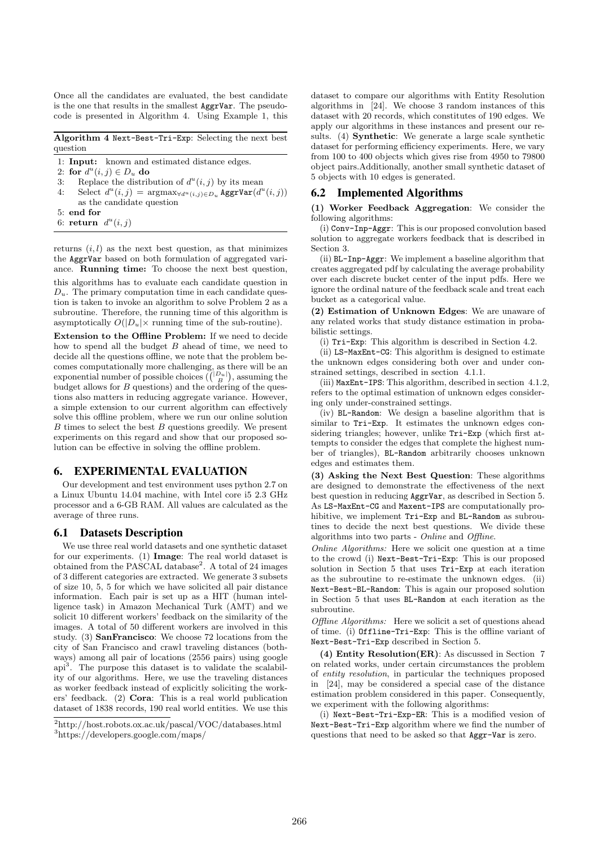Once all the candidates are evaluated, the best candidate is the one that results in the smallest AggrVar. The pseudocode is presented in Algorithm 4. Using Example 1, this

Algorithm 4 Next-Best-Tri-Exp: Selecting the next best question

- 1: Input: known and estimated distance edges.
- 2: for  $d^u(i, j) \in D_u$  do
- 3: Replace the distribution of  $d^u(i, j)$  by its mean
- 4: Select  $d^u(i, j) = \operatorname{argmax}_{\forall d^u(i, j) \in D_u} \operatorname{AggrVar}(d^u(i, j))$ as the candidate question
- 5: end for
- 6: return  $d^u(i, j)$

returns  $(i, l)$  as the next best question, as that minimizes the AggrVar based on both formulation of aggregated variance. Running time: To choose the next best question,

this algorithms has to evaluate each candidate question in  $D_u$ . The primary computation time in each candidate question is taken to invoke an algorithm to solve Problem 2 as a subroutine. Therefore, the running time of this algorithm is asymptotically  $O(|D_u| \times$  running time of the sub-routine).

Extension to the Offline Problem: If we need to decide how to spend all the budget  $B$  ahead of time, we need to decide all the questions offline, we note that the problem becomes computationally more challenging, as there will be an exponential number of possible choices  $\binom{\binom{|D_u|}{B}}$ , assuming the budget allows for  $B$  questions) and the ordering of the questions also matters in reducing aggregate variance. However, a simple extension to our current algorithm can effectively solve this offline problem, where we run our online solution  $B$  times to select the best  $B$  questions greedily. We present experiments on this regard and show that our proposed solution can be effective in solving the offline problem.

# 6. EXPERIMENTAL EVALUATION

Our development and test environment uses python 2.7 on a Linux Ubuntu 14.04 machine, with Intel core i5 2.3 GHz processor and a 6-GB RAM. All values are calculated as the average of three runs.

#### 6.1 Datasets Description

We use three real world datasets and one synthetic dataset for our experiments. (1) Image: The real world dataset is obtained from the PASCAL database<sup>2</sup>. A total of 24 images of 3 different categories are extracted. We generate 3 subsets of size 10, 5, 5 for which we have solicited all pair distance information. Each pair is set up as a HIT (human intelligence task) in Amazon Mechanical Turk (AMT) and we solicit 10 different workers' feedback on the similarity of the images. A total of 50 different workers are involved in this study. (3) SanFrancisco: We choose 72 locations from the city of San Francisco and crawl traveling distances (bothways) among all pair of locations (2556 pairs) using google api<sup>3</sup> . The purpose this dataset is to validate the scalability of our algorithms. Here, we use the traveling distances as worker feedback instead of explicitly soliciting the workers' feedback. (2) Cora: This is a real world publication dataset of 1838 records, 190 real world entities. We use this

dataset to compare our algorithms with Entity Resolution algorithms in [24]. We choose 3 random instances of this dataset with 20 records, which constitutes of 190 edges. We apply our algorithms in these instances and present our results. (4) Synthetic: We generate a large scale synthetic dataset for performing efficiency experiments. Here, we vary from 100 to 400 objects which gives rise from 4950 to 79800 object pairs.Additionally, another small synthetic dataset of 5 objects with 10 edges is generated.

#### 6.2 Implemented Algorithms

(1) Worker Feedback Aggregation: We consider the following algorithms:

(i) Conv-Inp-Aggr: This is our proposed convolution based solution to aggregate workers feedback that is described in Section 3.

(ii) BL-Inp-Aggr: We implement a baseline algorithm that creates aggregated pdf by calculating the average probability over each discrete bucket center of the input pdfs. Here we ignore the ordinal nature of the feedback scale and treat each bucket as a categorical value.

(2) Estimation of Unknown Edges: We are unaware of any related works that study distance estimation in probabilistic settings.

(i) Tri-Exp: This algorithm is described in Section 4.2.

(ii) LS-MaxEnt-CG: This algorithm is designed to estimate the unknown edges considering both over and under constrained settings, described in section 4.1.1.

(iii) MaxEnt-IPS: This algorithm, described in section 4.1.2, refers to the optimal estimation of unknown edges considering only under-constrained settings.

(iv) BL-Random: We design a baseline algorithm that is similar to Tri-Exp. It estimates the unknown edges considering triangles; however, unlike Tri-Exp (which first attempts to consider the edges that complete the highest number of triangles), BL-Random arbitrarily chooses unknown edges and estimates them.

(3) Asking the Next Best Question: These algorithms are designed to demonstrate the effectiveness of the next best question in reducing AggrVar, as described in Section 5. As LS-MaxEnt-CG and Maxent-IPS are computationally prohibitive, we implement Tri-Exp and BL-Random as subroutines to decide the next best questions. We divide these algorithms into two parts - Online and Offline.

Online Algorithms: Here we solicit one question at a time to the crowd (i) Next-Best-Tri-Exp: This is our proposed solution in Section 5 that uses Tri-Exp at each iteration as the subroutine to re-estimate the unknown edges. (ii) Next-Best-BL-Random: This is again our proposed solution in Section 5 that uses BL-Random at each iteration as the subroutine.

Offline Algorithms: Here we solicit a set of questions ahead of time. (i) Offline-Tri-Exp: This is the offline variant of Next-Best-Tri-Exp described in Section 5.

(4) Entity Resolution(ER): As discussed in Section 7 on related works, under certain circumstances the problem of entity resolution, in particular the techniques proposed in [24], may be considered a special case of the distance estimation problem considered in this paper. Consequently, we experiment with the following algorithms:

(i) Next-Best-Tri-Exp-ER: This is a modified vesion of Next-Best-Tri-Exp algorithm where we find the number of questions that need to be asked so that Aggr-Var is zero.

<sup>2</sup>http://host.robots.ox.ac.uk/pascal/VOC/databases.html <sup>3</sup>https://developers.google.com/maps/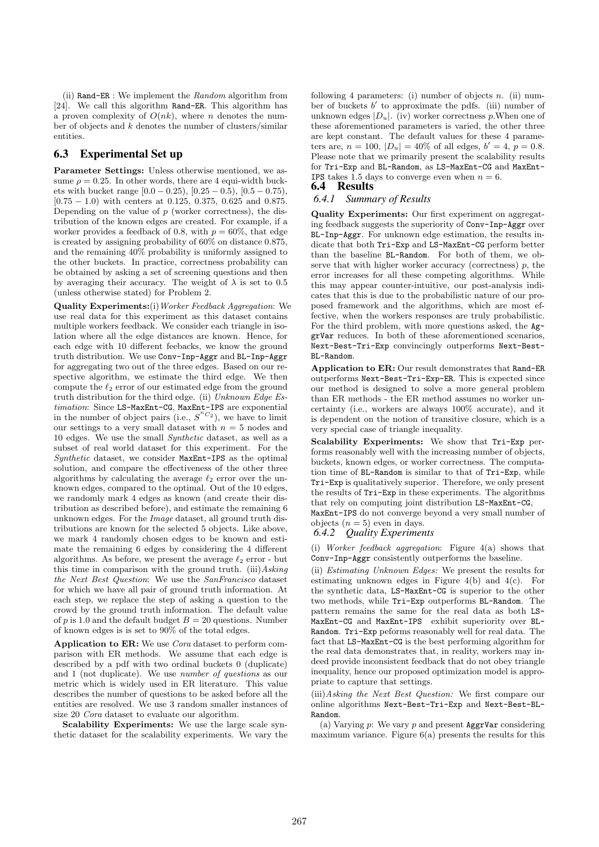(ii) Rand-ER : We implement the Random algorithm from [24]. We call this algorithm Rand-ER. This algorithm has a proven complexity of  $O(nk)$ , where *n* denotes the number of objects and  $k$  denotes the number of clusters/similar entities.

# 6.3 Experimental Set up

Parameter Settings: Unless otherwise mentioned, we assume  $\rho = 0.25$ . In other words, there are 4 equi-width buckets with bucket range  $[0.0 - 0.25)$ ,  $[0.25 - 0.5)$ ,  $[0.5 - 0.75)$ , [0.75 − 1.0) with centers at 0.125, 0.375, 0.625 and 0.875. Depending on the value of  $p$  (worker correctness), the distribution of the known edges are created. For example, if a worker provides a feedback of 0.8, with  $p = 60\%$ , that edge is created by assigning probability of 60% on distance 0.875, and the remaining 40% probability is uniformly assigned to the other buckets. In practice, correctness probability can be obtained by asking a set of screening questions and then by averaging their accuracy. The weight of  $\lambda$  is set to 0.5 (unless otherwise stated) for Problem 2.

Quality Experiments:(i)Worker Feedback Aggregation: We use real data for this experiment as this dataset contains multiple workers feedback. We consider each triangle in isolation where all the edge distances are known. Hence, for each edge with 10 different feebacks, we know the ground truth distribution. We use Conv-Inp-Aggr and BL-Inp-Aggr for aggregating two out of the three edges. Based on our respective algorithm, we estimate the third edge. We then compute the  $\ell_2$  error of our estimated edge from the ground truth distribution for the third edge. (ii) Unknown Edge Estimation: Since LS-MaxEnt-CG, MaxEnt-IPS are exponential in the number of object pairs (i.e.,  $S^{nC_2}$ ), we have to limit our settings to a very small dataset with  $n = 5$  nodes and 10 edges. We use the small Synthetic dataset, as well as a subset of real world dataset for this experiment. For the Synthetic dataset, we consider MaxEnt-IPS as the optimal solution, and compare the effectiveness of the other three algorithms by calculating the average  $\ell_2$  error over the unknown edges, compared to the optimal. Out of the 10 edges, we randomly mark 4 edges as known (and create their distribution as described before), and estimate the remaining 6 unknown edges. For the Image dataset, all ground truth distributions are known for the selected 5 objects. Like above, we mark 4 randomly chosen edges to be known and estimate the remaining 6 edges by considering the 4 different algorithms. As before, we present the average  $\ell_2$  error - but this time in comparison with the ground truth. (iii) $As\,$ the Next Best Question: We use the SanFrancisco dataset for which we have all pair of ground truth information. At each step, we replace the step of asking a question to the crowd by the ground truth information. The default value of p is 1.0 and the default budget  $B = 20$  questions. Number of known edges is is set to 90% of the total edges.

Application to ER: We use Cora dataset to perform comparison with ER methods. We assume that each edge is described by a pdf with two ordinal buckets 0 (duplicate) and 1 (not duplicate). We use number of questions as our metric which is widely used in ER literature. This value describes the number of questions to be asked before all the entities are resolved. We use 3 random smaller instances of size 20 Cora dataset to evaluate our algorithm.

Scalability Experiments: We use the large scale synthetic dataset for the scalability experiments. We vary the

following 4 parameters: (i) number of objects  $n$ . (ii) number of buckets  $b'$  to approximate the pdfs. (iii) number of unknown edges  $|D_u|$ . (iv) worker correctness p. When one of these aforementioned parameters is varied, the other three are kept constant. The default values for these 4 parameters are,  $n = 100$ ,  $|D_u| = 40\%$  of all edges,  $b' = 4$ ,  $p = 0.8$ . Please note that we primarily present the scalability results for Tri-Exp and BL-Random, as LS-MaxEnt-CG and MaxEnt-**IPS** takes 1.5 days to converge even when  $n = 6$ .

### 6.4 Results

# *6.4.1 Summary of Results*

Quality Experiments: Our first experiment on aggregating feedback suggests the superiority of Conv-Inp-Aggr over BL-Inp-Aggr. For unknown edge estimation, the results indicate that both Tri-Exp and LS-MaxEnt-CG perform better than the baseline BL-Random. For both of them, we observe that with higher worker accuracy (correctness)  $p$ , the error increases for all these competing algorithms. While this may appear counter-intuitive, our post-analysis indicates that this is due to the probabilistic nature of our proposed framework and the algorithms, which are most effective, when the workers responses are truly probabilistic. For the third problem, with more questions asked, the AggrVar reduces. In both of these aforementioned scenarios, Next-Best-Tri-Exp convincingly outperforms Next-Best-BL-Random.

Application to ER: Our result demonstrates that Rand-ER outperforms Next-Best-Tri-Exp-ER. This is expected since our method is designed to solve a more general problem than ER methods - the ER method assumes no worker uncertainty (i.e., workers are always 100% accurate), and it is dependent on the notion of transitive closure, which is a very special case of triangle inequality.

Scalability Experiments: We show that Tri-Exp performs reasonably well with the increasing number of objects, buckets, known edges, or worker correctness. The computation time of BL-Random is similar to that of Tri-Exp, while Tri-Exp is qualitatively superior. Therefore, we only present the results of Tri-Exp in these experiments. The algorithms that rely on computing joint distribution LS-MaxEnt-CG,

MaxEnt-IPS do not converge beyond a very small number of objects  $(n = 5)$  even in days.

### *6.4.2 Quality Experiments*

(i) Worker feedback aggregation: Figure  $4(a)$  shows that Conv-Inp-Aggr consistently outperforms the baseline.

(ii) Estimating Unknown Edges: We present the results for estimating unknown edges in Figure 4(b) and 4(c). For the synthetic data, LS-MaxEnt-CG is superior to the other two methods, while Tri-Exp outperforms BL-Random. The pattern remains the same for the real data as both LS-MaxEnt-CG and MaxEnt-IPS exhibit superiority over BL-Random. Tri-Exp peforms reasonably well for real data. The fact that LS-MaxEnt-CG is the best performing algorithm for the real data demonstrates that, in reality, workers may indeed provide inconsistent feedback that do not obey triangle inequality, hence our proposed optimization model is appropriate to capture that settings.

(iii)Asking the Next Best Question: We first compare our online algorithms Next-Best-Tri-Exp and Next-Best-BL-Random.

(a) Varying  $p$ : We vary  $p$  and present **AggrVar** considering maximum variance. Figure  $6(a)$  presents the results for this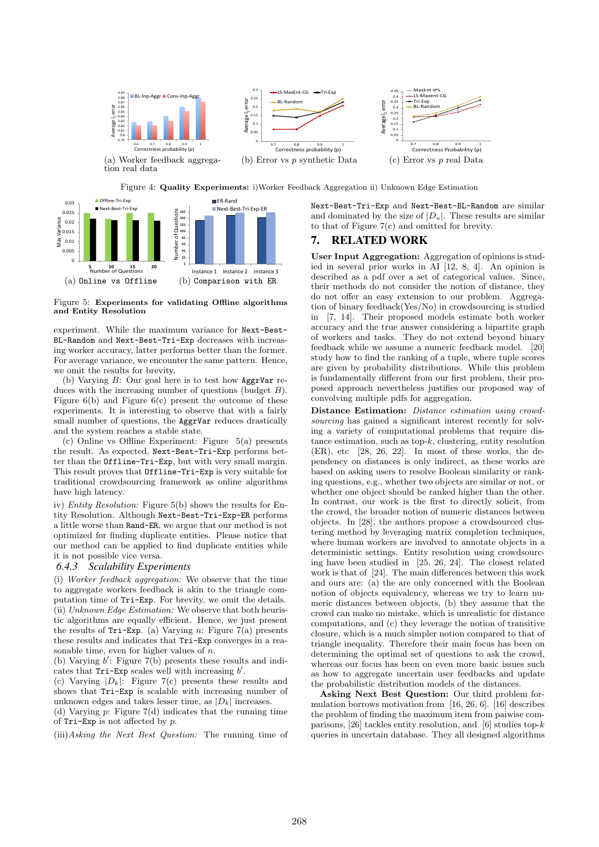

Figure 4: Quality Experiments: i)Worker Feedback Aggregation ii) Unknown Edge Estimation



Figure 5: Experiments for validating Offline algorithms and Entity Resolution

experiment. While the maximum variance for Next-Best-BL-Random and Next-Best-Tri-Exp decreases with increasing worker accuracy, latter performs better than the former. For average variance, we encounter the same pattern. Hence, we omit the results for brevity.

(b) Varying  $B$ : Our goal here is to test how AggrVar reduces with the increasing number of questions (budget B). Figure  $6(b)$  and Figure  $6(c)$  present the outcome of these experiments. It is interesting to observe that with a fairly small number of questions, the AggrVar reduces drastically and the system reaches a stable state.

(c) Online vs Offline Experiment: Figure 5(a) presents the result. As expected, Next-Best-Tri-Exp performs better than the Offline-Tri-Exp, but with very small margin. This result proves that Offline-Tri-Exp is very suitable for traditional crowdsourcing framework as online algorithms have high latency.

iv) Entity Resolution: Figure 5(b) shows the results for Entity Resolution. Although Next-Best-Tri-Exp-ER performs a little worse than Rand-ER, we argue that our method is not optimized for finding duplicate entities. Please notice that our method can be applied to find duplicate entities while it is not possible vice versa.

### *6.4.3 Scalability Experiments*

(i) Worker feedback aggregation: We observe that the time to aggregate workers feedback is akin to the triangle computation time of Tri-Exp. For brevity, we omit the details. (ii) Unknown Edge Estimation: We observe that both heuristic algorithms are equally efficient. Hence, we just present the results of  $Tri-Exp.$  (a) Varying n: Figure 7(a) presents these results and indicates that Tri-Exp converges in a reasonable time, even for higher values of  $n$ .

(b) Varying  $b'$ : Figure 7(b) presents these results and indicates that  $Tri-Exp$  scales well with increasing  $b'$ .

(c) Varying  $|D_k|$ : Figure 7(c) presents these results and shows that Tri-Exp is scalable with increasing number of unknown edges and takes lesser time, as  $|D_k|$  increases.

(d) Varying  $p$ : Figure 7(d) indicates that the running time of  $Tri-Exp$  is not affected by p.

(iii)Asking the Next Best Question: The running time of

Next-Best-Tri-Exp and Next-Best-BL-Random are similar and dominated by the size of  $|D_u|$ . These results are similar to that of Figure 7(c) and omitted for brevity.

### 7. RELATED WORK

User Input Aggregation: Aggregation of opinions is studied in several prior works in AI [12, 8, 4]. An opinion is described as a pdf over a set of categorical values. Since, their methods do not consider the notion of distance, they do not offer an easy extension to our problem. Aggregation of binary feedback(Yes/No) in crowdsourcing is studied in [7, 14]. Their proposed models estimate both worker accuracy and the true answer considering a bipartite graph of workers and tasks. They do not extend beyond binary feedback while we assume a numeric feedback model. [20] study how to find the ranking of a tuple, where tuple scores are given by probability distributions. While this problem is fundamentally different from our first problem, their proposed approach nevertheless justifies our proposed way of convolving multiple pdfs for aggregation.

Distance Estimation: Distance estimation using crowdsourcing has gained a significant interest recently for solving a variety of computational problems that require distance estimation, such as top-k, clustering, entity resolution  $(ER)$ , etc  $[28, 26, 22]$ . In most of these works, the dependency on distances is only indirect, as these works are based on asking users to resolve Boolean similarity or ranking questions, e.g., whether two objects are similar or not, or whether one object should be ranked higher than the other. In contrast, our work is the first to directly solicit, from the crowd, the broader notion of numeric distances between objects. In [28], the authors propose a crowdsourced clustering method by leveraging matrix completion techniques, where human workers are involved to annotate objects in a deterministic settings. Entity resolution using crowdsourcing have been studied in [25, 26, 24]. The closest related work is that of [24]. The main differences between this work and ours are: (a) the are only concerned with the Boolean notion of objects equivalency, whereas we try to learn numeric distances between objects, (b) they assume that the crowd can make no mistake, which is unrealistic for distance computations, and (c) they leverage the notion of transitive closure, which is a much simpler notion compared to that of triangle inequality. Therefore their main focus has been on determining the optimal set of questions to ask the crowd, whereas our focus has been on even more basic issues such as how to aggregate uncertain user feedbacks and update the probabilistic distribution models of the distances.

Asking Next Best Question: Our third problem formulation borrows motivation from [16, 26, 6]. [16] describes the problem of finding the maximum item from paiwise comparisons, [26] tackles entity resolution, and [6] studies top- $k$ queries in uncertain database. They all designed algorithms